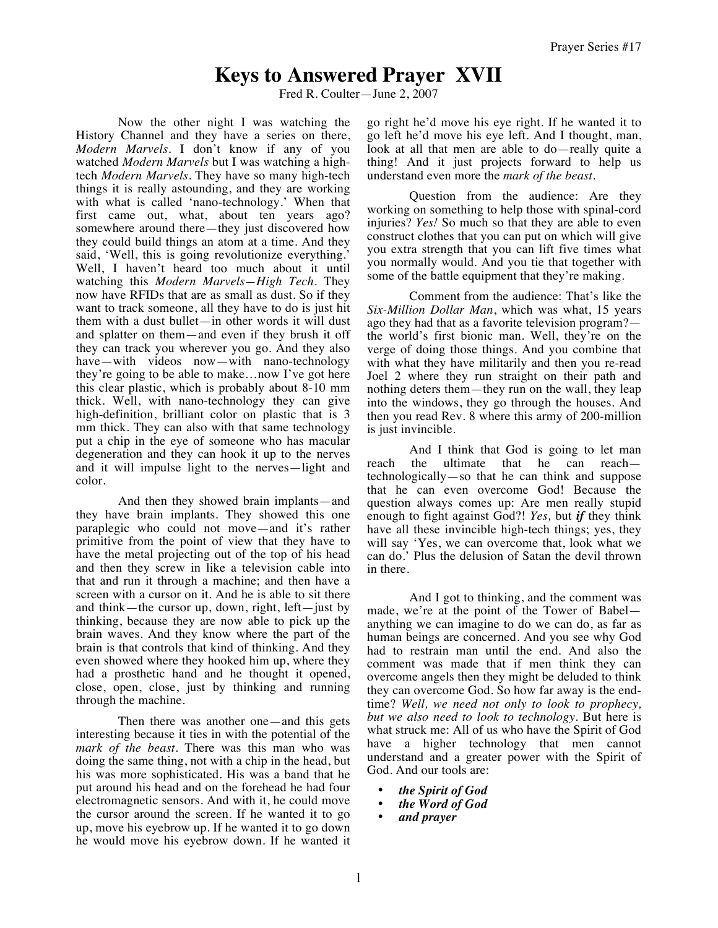## **Keys to Answered Prayer XVII**

Fred R. Coulter—June 2, 2007

Now the other night I was watching the History Channel and they have a series on there, *Modern Marvels.* I don't know if any of you watched *Modern Marvels* but I was watching a hightech *Modern Marvels.* They have so many high-tech things it is really astounding, and they are working with what is called 'nano-technology.' When that first came out, what, about ten years ago? somewhere around there—they just discovered how they could build things an atom at a time. And they said, 'Well, this is going revolutionize everything.' Well, I haven't heard too much about it until watching this *Modern Marvels—High Tech.* They now have RFIDs that are as small as dust. So if they want to track someone, all they have to do is just hit them with a dust bullet—in other words it will dust and splatter on them—and even if they brush it off they can track you wherever you go. And they also have—with videos now—with nano-technology they're going to be able to make…now I've got here this clear plastic, which is probably about 8-10 mm thick. Well, with nano-technology they can give high-definition, brilliant color on plastic that is 3 mm thick. They can also with that same technology put a chip in the eye of someone who has macular degeneration and they can hook it up to the nerves and it will impulse light to the nerves—light and color.

And then they showed brain implants—and they have brain implants. They showed this one paraplegic who could not move—and it's rather primitive from the point of view that they have to have the metal projecting out of the top of his head and then they screw in like a television cable into that and run it through a machine; and then have a screen with a cursor on it. And he is able to sit there and think—the cursor up, down, right, left—just by thinking, because they are now able to pick up the brain waves. And they know where the part of the brain is that controls that kind of thinking. And they even showed where they hooked him up, where they had a prosthetic hand and he thought it opened, close, open, close, just by thinking and running through the machine.

Then there was another one—and this gets interesting because it ties in with the potential of the *mark of the beast*. There was this man who was doing the same thing, not with a chip in the head, but his was more sophisticated. His was a band that he put around his head and on the forehead he had four electromagnetic sensors. And with it, he could move the cursor around the screen. If he wanted it to go up, move his eyebrow up. If he wanted it to go down he would move his eyebrow down. If he wanted it go right he'd move his eye right. If he wanted it to go left he'd move his eye left. And I thought, man, look at all that men are able to do—really quite a thing! And it just projects forward to help us understand even more the *mark of the beast*.

Question from the audience: Are they working on something to help those with spinal-cord injuries? *Yes!* So much so that they are able to even construct clothes that you can put on which will give you extra strength that you can lift five times what you normally would. And you tie that together with some of the battle equipment that they're making.

Comment from the audience: That's like the *Six-Million Dollar Man*, which was what, 15 years ago they had that as a favorite television program? the world's first bionic man. Well, they're on the verge of doing those things. And you combine that with what they have militarily and then you re-read Joel 2 where they run straight on their path and nothing deters them—they run on the wall, they leap into the windows, they go through the houses. And then you read Rev. 8 where this army of 200-million is just invincible.

And I think that God is going to let man reach the ultimate that he can reach technologically—so that he can think and suppose that he can even overcome God! Because the question always comes up: Are men really stupid enough to fight against God?! *Yes,* but *if* they think have all these invincible high-tech things; yes, they will say 'Yes, we can overcome that, look what we can do.' Plus the delusion of Satan the devil thrown in there.

And I got to thinking, and the comment was made, we're at the point of the Tower of Babel anything we can imagine to do we can do, as far as human beings are concerned. And you see why God had to restrain man until the end. And also the comment was made that if men think they can overcome angels then they might be deluded to think they can overcome God. So how far away is the endtime? *Well, we need not only to look to prophecy, but we also need to look to technology*. But here is what struck me: All of us who have the Spirit of God have a higher technology that men cannot understand and a greater power with the Spirit of God. And our tools are:

- *the Spirit of God*
- *the Word of God*
- *and prayer*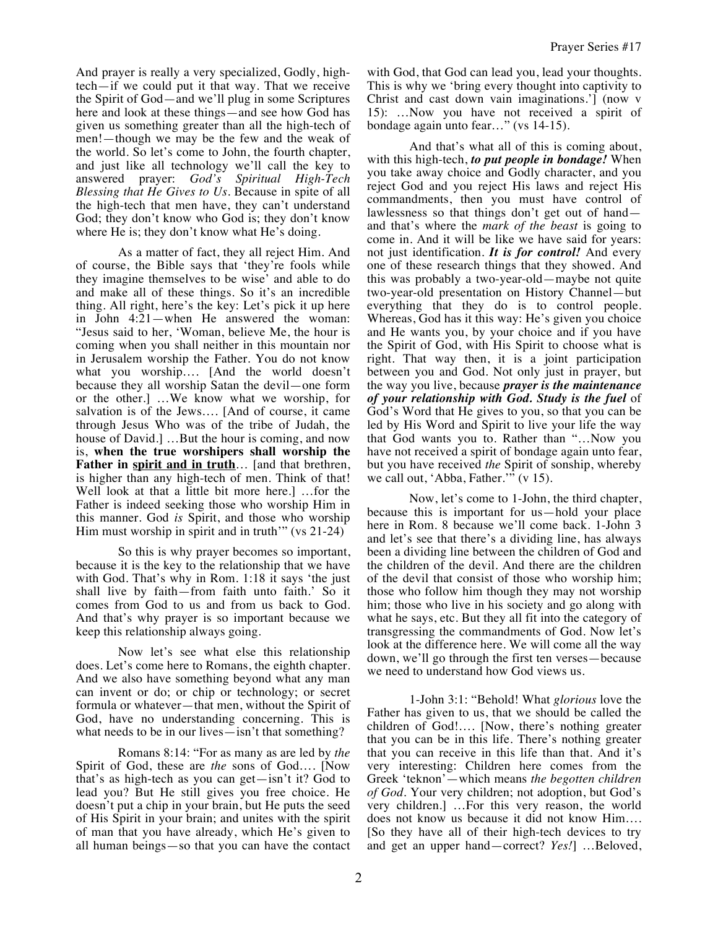And prayer is really a very specialized, Godly, hightech—if we could put it that way. That we receive the Spirit of God—and we'll plug in some Scriptures here and look at these things—and see how God has given us something greater than all the high-tech of men!—though we may be the few and the weak of the world. So let's come to John, the fourth chapter, and just like all technology we'll call the key to answered prayer: *God's Spiritual High-Tech Blessing that He Gives to Us.* Because in spite of all the high-tech that men have, they can't understand God; they don't know who God is; they don't know where He is; they don't know what He's doing.

As a matter of fact, they all reject Him. And of course, the Bible says that 'they're fools while they imagine themselves to be wise' and able to do and make all of these things. So it's an incredible thing. All right, here's the key: Let's pick it up here in John 4:21—when He answered the woman: "Jesus said to her, 'Woman, believe Me, the hour is coming when you shall neither in this mountain nor in Jerusalem worship the Father. You do not know what you worship…. [And the world doesn't because they all worship Satan the devil—one form or the other.] …We know what we worship, for salvation is of the Jews…. [And of course, it came through Jesus Who was of the tribe of Judah, the house of David.] …But the hour is coming, and now is, **when the true worshipers shall worship the**  Father in spirit and in truth... [and that brethren, is higher than any high-tech of men. Think of that! Well look at that a little bit more here.] …for the Father is indeed seeking those who worship Him in this manner. God *is* Spirit, and those who worship Him must worship in spirit and in truth'" (vs 21-24)

So this is why prayer becomes so important, because it is the key to the relationship that we have with God. That's why in Rom. 1:18 it says 'the just shall live by faith—from faith unto faith.' So it comes from God to us and from us back to God. And that's why prayer is so important because we keep this relationship always going.

Now let's see what else this relationship does. Let's come here to Romans, the eighth chapter. And we also have something beyond what any man can invent or do; or chip or technology; or secret formula or whatever—that men, without the Spirit of God, have no understanding concerning. This is what needs to be in our lives—isn't that something?

Romans 8:14: "For as many as are led by *the* Spirit of God, these are *the* sons of God…. [Now that's as high-tech as you can get—isn't it? God to lead you? But He still gives you free choice. He doesn't put a chip in your brain, but He puts the seed of His Spirit in your brain; and unites with the spirit of man that you have already, which He's given to all human beings—so that you can have the contact with God, that God can lead you, lead your thoughts. This is why we 'bring every thought into captivity to Christ and cast down vain imaginations.'] (now v 15): …Now you have not received a spirit of bondage again unto fear…" (vs 14-15).

And that's what all of this is coming about, with this high-tech, *to put people in bondage!* When you take away choice and Godly character, and you reject God and you reject His laws and reject His commandments, then you must have control of lawlessness so that things don't get out of hand and that's where the *mark of the beast* is going to come in. And it will be like we have said for years: not just identification. *It is for control!* And every one of these research things that they showed. And this was probably a two-year-old—maybe not quite two-year-old presentation on History Channel—but everything that they do is to control people. Whereas, God has it this way: He's given you choice and He wants you, by your choice and if you have the Spirit of God, with His Spirit to choose what is right. That way then, it is a joint participation between you and God. Not only just in prayer, but the way you live, because *prayer is the maintenance of your relationship with God. Study is the fuel* of God's Word that He gives to you, so that you can be led by His Word and Spirit to live your life the way that God wants you to. Rather than "…Now you have not received a spirit of bondage again unto fear, but you have received *the* Spirit of sonship, whereby we call out, 'Abba, Father.'" (v 15).

Now, let's come to 1-John, the third chapter, because this is important for us—hold your place here in Rom. 8 because we'll come back. 1-John 3 and let's see that there's a dividing line, has always been a dividing line between the children of God and the children of the devil. And there are the children of the devil that consist of those who worship him; those who follow him though they may not worship him; those who live in his society and go along with what he says, etc. But they all fit into the category of transgressing the commandments of God. Now let's look at the difference here. We will come all the way down, we'll go through the first ten verses—because we need to understand how God views us.

1-John 3:1: "Behold! What *glorious* love the Father has given to us, that we should be called the children of God!…. [Now, there's nothing greater that you can be in this life. There's nothing greater that you can receive in this life than that. And it's very interesting: Children here comes from the Greek 'teknon'—which means *the begotten children of God.* Your very children; not adoption, but God's very children.] …For this very reason, the world does not know us because it did not know Him…. [So they have all of their high-tech devices to try and get an upper hand—correct? *Yes!*] …Beloved,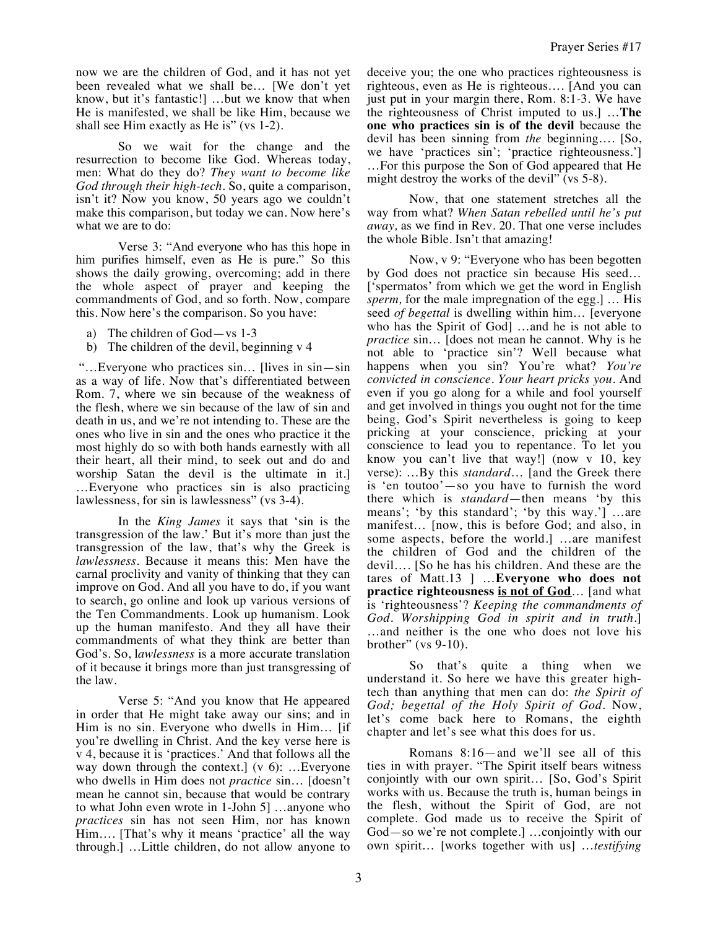now we are the children of God, and it has not yet been revealed what we shall be… [We don't yet know, but it's fantastic!] …but we know that when He is manifested, we shall be like Him, because we shall see Him exactly as He is" (vs 1-2).

So we wait for the change and the resurrection to become like God. Whereas today, men: What do they do? *They want to become like God through their high-tech.* So, quite a comparison, isn't it? Now you know, 50 years ago we couldn't make this comparison, but today we can. Now here's what we are to do:

Verse 3: "And everyone who has this hope in him purifies himself, even as He is pure." So this shows the daily growing, overcoming; add in there the whole aspect of prayer and keeping the commandments of God, and so forth. Now, compare this. Now here's the comparison. So you have:

- a) The children of God—vs 1-3
- b) The children of the devil, beginning v 4

 "…Everyone who practices sin… [lives in sin—sin as a way of life. Now that's differentiated between Rom. 7, where we sin because of the weakness of the flesh, where we sin because of the law of sin and death in us, and we're not intending to. These are the ones who live in sin and the ones who practice it the most highly do so with both hands earnestly with all their heart, all their mind, to seek out and do and worship Satan the devil is the ultimate in it.] …Everyone who practices sin is also practicing lawlessness, for sin is lawlessness" (vs 3-4).

In the *King James* it says that 'sin is the transgression of the law.' But it's more than just the transgression of the law, that's why the Greek is *lawlessness.* Because it means this: Men have the carnal proclivity and vanity of thinking that they can improve on God. And all you have to do, if you want to search, go online and look up various versions of the Ten Commandments. Look up humanism. Look up the human manifesto. And they all have their commandments of what they think are better than God's. So, l*awlessness* is a more accurate translation of it because it brings more than just transgressing of the law.

Verse 5: "And you know that He appeared in order that He might take away our sins; and in Him is no sin. Everyone who dwells in Him… [if you're dwelling in Christ. And the key verse here is v 4, because it is 'practices.' And that follows all the way down through the context.] (v 6): ... Everyone who dwells in Him does not *practice* sin… [doesn't mean he cannot sin, because that would be contrary to what John even wrote in 1-John 5] …anyone who *practices* sin has not seen Him, nor has known Him…. [That's why it means 'practice' all the way through.] …Little children, do not allow anyone to

deceive you; the one who practices righteousness is righteous, even as He is righteous…. [And you can just put in your margin there, Rom. 8:1-3. We have the righteousness of Christ imputed to us.] …**The one who practices sin is of the devil** because the devil has been sinning from *the* beginning…. [So, we have 'practices sin'; 'practice righteousness.'] …For this purpose the Son of God appeared that He might destroy the works of the devil" (vs 5-8).

Now, that one statement stretches all the way from what? *When Satan rebelled until he's put away,* as we find in Rev. 20. That one verse includes the whole Bible. Isn't that amazing!

Now, v 9: "Everyone who has been begotten by God does not practice sin because His seed… ['spermatos' from which we get the word in English *sperm,* for the male impregnation of the egg.] … His seed *of begettal* is dwelling within him… [everyone who has the Spirit of God] …and he is not able to *practice* sin... [does not mean he cannot. Why is he not able to 'practice sin'? Well because what happens when you sin? You're what? *You're convicted in conscience. Your heart pricks you.* And even if you go along for a while and fool yourself and get involved in things you ought not for the time being, God's Spirit nevertheless is going to keep pricking at your conscience, pricking at your conscience to lead you to repentance. To let you know you can't live that way!] (now v 10, key verse): …By this *standard*… [and the Greek there is 'en toutoo'—so you have to furnish the word there which is *standard*—then means 'by this means'; 'by this standard'; 'by this way.'] …are manifest… [now, this is before God; and also, in some aspects, before the world.] …are manifest the children of God and the children of the devil…. [So he has his children. And these are the tares of Matt.13 ] …**Everyone who does not practice righteousness is not of God**… [and what is 'righteousness'? *Keeping the commandments of God. Worshipping God in spirit and in truth.*] …and neither is the one who does not love his brother" (vs 9-10).

So that's quite a thing when we understand it. So here we have this greater hightech than anything that men can do: *the Spirit of God; begettal of the Holy Spirit of God.* Now, let's come back here to Romans, the eighth chapter and let's see what this does for us.

Romans 8:16—and we'll see all of this ties in with prayer. "The Spirit itself bears witness conjointly with our own spirit… [So, God's Spirit works with us. Because the truth is, human beings in the flesh, without the Spirit of God, are not complete. God made us to receive the Spirit of God—so we're not complete.] …conjointly with our own spirit… [works together with us] …*testifying*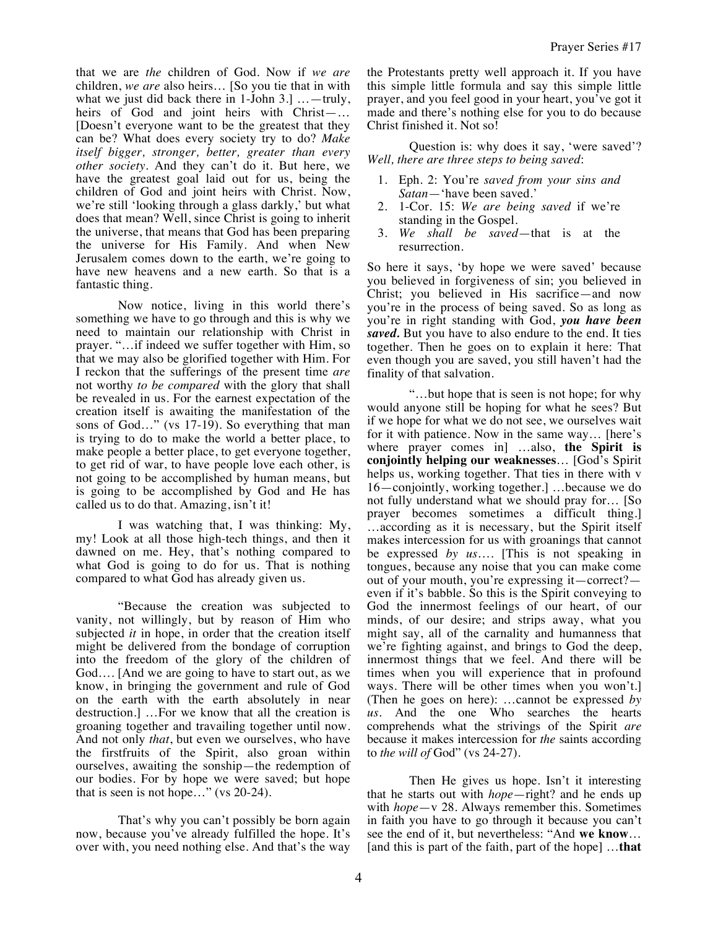that we are *the* children of God. Now if *we are* children, *we are* also heirs… [So you tie that in with what we just did back there in 1-John 3.1 ... - truly, heirs of God and joint heirs with Christ—… [Doesn't everyone want to be the greatest that they can be? What does every society try to do? *Make itself bigger, stronger, better, greater than every other society.* And they can't do it. But here, we have the greatest goal laid out for us, being the children of God and joint heirs with Christ. Now, we're still 'looking through a glass darkly,' but what does that mean? Well, since Christ is going to inherit the universe, that means that God has been preparing the universe for His Family. And when New Jerusalem comes down to the earth, we're going to have new heavens and a new earth. So that is a fantastic thing.

Now notice, living in this world there's something we have to go through and this is why we need to maintain our relationship with Christ in prayer. "…if indeed we suffer together with Him, so that we may also be glorified together with Him. For I reckon that the sufferings of the present time *are* not worthy *to be compared* with the glory that shall be revealed in us. For the earnest expectation of the creation itself is awaiting the manifestation of the sons of God…" (vs 17-19). So everything that man is trying to do to make the world a better place, to make people a better place, to get everyone together, to get rid of war, to have people love each other, is not going to be accomplished by human means, but is going to be accomplished by God and He has called us to do that. Amazing, isn't it!

I was watching that, I was thinking: My, my! Look at all those high-tech things, and then it dawned on me. Hey, that's nothing compared to what God is going to do for us. That is nothing compared to what God has already given us.

"Because the creation was subjected to vanity, not willingly, but by reason of Him who subjected *it* in hope, in order that the creation itself might be delivered from the bondage of corruption into the freedom of the glory of the children of God…. [And we are going to have to start out, as we know, in bringing the government and rule of God on the earth with the earth absolutely in near destruction.] …For we know that all the creation is groaning together and travailing together until now. And not only *that*, but even we ourselves, who have the firstfruits of the Spirit, also groan within ourselves, awaiting the sonship—the redemption of our bodies. For by hope we were saved; but hope that is seen is not hope…" (vs 20-24).

That's why you can't possibly be born again now, because you've already fulfilled the hope. It's over with, you need nothing else. And that's the way

the Protestants pretty well approach it. If you have this simple little formula and say this simple little prayer, and you feel good in your heart, you've got it made and there's nothing else for you to do because Christ finished it. Not so!

Question is: why does it say, 'were saved'? *Well, there are three steps to being saved*:

- 1. Eph. 2: You're *saved from your sins and Satan*—'have been saved.'
- 2. 1-Cor. 15: *We are being saved* if we're standing in the Gospel.
- 3. *We shall be saved*—that is at the resurrection.

So here it says, 'by hope we were saved' because you believed in forgiveness of sin; you believed in Christ; you believed in His sacrifice—and now you're in the process of being saved. So as long as you're in right standing with God, *you have been saved.* But you have to also endure to the end. It ties together. Then he goes on to explain it here: That even though you are saved, you still haven't had the finality of that salvation.

"…but hope that is seen is not hope; for why would anyone still be hoping for what he sees? But if we hope for what we do not see, we ourselves wait for it with patience. Now in the same way… [here's where prayer comes in] …also, **the Spirit is conjointly helping our weaknesses**… [God's Spirit helps us, working together. That ties in there with v 16—conjointly, working together.] …because we do not fully understand what we should pray for… [So prayer becomes sometimes a difficult thing.] …according as it is necessary, but the Spirit itself makes intercession for us with groanings that cannot be expressed *by us*…. [This is not speaking in tongues, because any noise that you can make come out of your mouth, you're expressing it—correct? even if it's babble. So this is the Spirit conveying to God the innermost feelings of our heart, of our minds, of our desire; and strips away, what you might say, all of the carnality and humanness that we're fighting against, and brings to God the deep, innermost things that we feel. And there will be times when you will experience that in profound ways. There will be other times when you won't.] (Then he goes on here): …cannot be expressed *by us*. And the one Who searches the hearts comprehends what the strivings of the Spirit *are* because it makes intercession for *the* saints according to *the will of* God" (vs 24-27).

Then He gives us hope. Isn't it interesting that he starts out with *hope*—right? and he ends up with *hope*—v 28. Always remember this. Sometimes in faith you have to go through it because you can't see the end of it, but nevertheless: "And **we know**… [and this is part of the faith, part of the hope] …**that**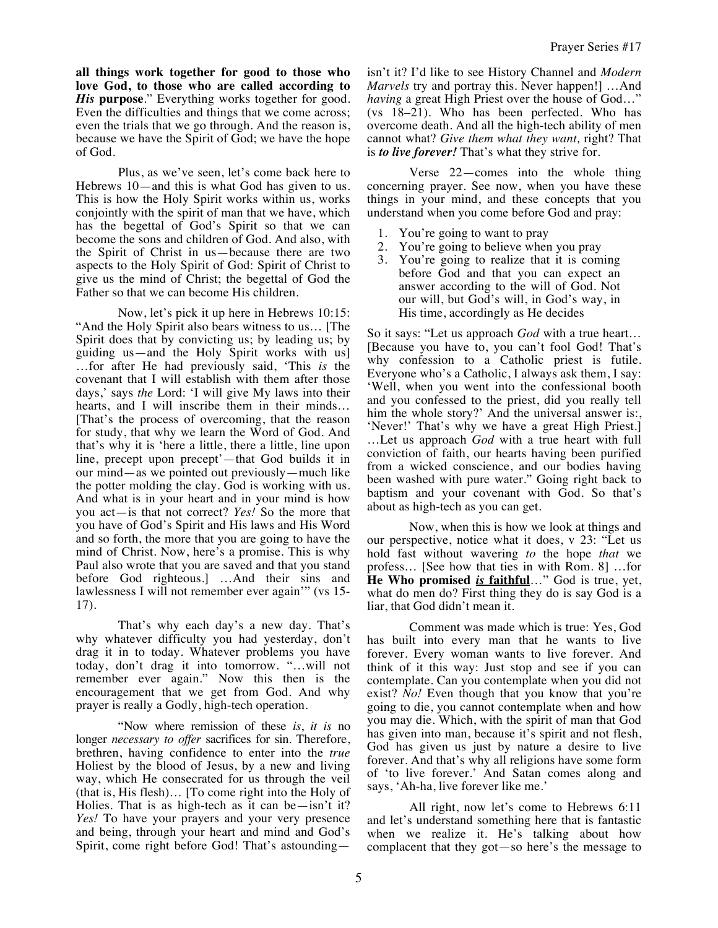**all things work together for good to those who love God, to those who are called according to**  *His* **purpose**." Everything works together for good. Even the difficulties and things that we come across; even the trials that we go through. And the reason is, because we have the Spirit of God; we have the hope of God.

Plus, as we've seen, let's come back here to Hebrews 10—and this is what God has given to us. This is how the Holy Spirit works within us, works conjointly with the spirit of man that we have, which has the begettal of God's Spirit so that we can become the sons and children of God. And also, with the Spirit of Christ in us—because there are two aspects to the Holy Spirit of God: Spirit of Christ to give us the mind of Christ; the begettal of God the Father so that we can become His children.

Now, let's pick it up here in Hebrews 10:15: "And the Holy Spirit also bears witness to us… [The Spirit does that by convicting us; by leading us; by guiding us—and the Holy Spirit works with us] …for after He had previously said, 'This *is* the covenant that I will establish with them after those days,' says *the* Lord: 'I will give My laws into their hearts, and I will inscribe them in their minds… [That's the process of overcoming, that the reason for study, that why we learn the Word of God. And that's why it is 'here a little, there a little, line upon line, precept upon precept'—that God builds it in our mind—as we pointed out previously—much like the potter molding the clay. God is working with us. And what is in your heart and in your mind is how you act—is that not correct? *Yes!* So the more that you have of God's Spirit and His laws and His Word and so forth, the more that you are going to have the mind of Christ. Now, here's a promise. This is why Paul also wrote that you are saved and that you stand before God righteous.] …And their sins and lawlessness I will not remember ever again'" (vs 15- 17).

That's why each day's a new day. That's why whatever difficulty you had yesterday, don't drag it in to today. Whatever problems you have today, don't drag it into tomorrow. "…will not remember ever again." Now this then is the encouragement that we get from God. And why prayer is really a Godly, high-tech operation.

"Now where remission of these *is*, *it is* no longer *necessary to offer* sacrifices for sin. Therefore, brethren, having confidence to enter into the *true* Holiest by the blood of Jesus, by a new and living way, which He consecrated for us through the veil (that is, His flesh)… [To come right into the Holy of Holies. That is as high-tech as it can be—isn't it? *Yes!* To have your prayers and your very presence and being, through your heart and mind and God's Spirit, come right before God! That's astoundingisn't it? I'd like to see History Channel and *Modern Marvels* try and portray this. Never happen!] …And *having* a great High Priest over the house of God…" (vs 18–21). Who has been perfected. Who has overcome death. And all the high-tech ability of men cannot what? *Give them what they want,* right? That is *to live forever!* That's what they strive for.

Prayer Series #17

Verse 22—comes into the whole thing concerning prayer. See now, when you have these things in your mind, and these concepts that you understand when you come before God and pray:

- 1. You're going to want to pray
- 2. You're going to believe when you pray
- 3. You're going to realize that it is coming before God and that you can expect an answer according to the will of God. Not our will, but God's will, in God's way, in His time, accordingly as He decides

So it says: "Let us approach *God* with a true heart… [Because you have to, you can't fool God! That's why confession to a Catholic priest is futile. Everyone who's a Catholic, I always ask them, I say: 'Well, when you went into the confessional booth and you confessed to the priest, did you really tell him the whole story?' And the universal answer is:, 'Never!' That's why we have a great High Priest.] …Let us approach *God* with a true heart with full conviction of faith, our hearts having been purified from a wicked conscience, and our bodies having been washed with pure water." Going right back to baptism and your covenant with God. So that's about as high-tech as you can get.

Now, when this is how we look at things and our perspective, notice what it does, v 23: "Let us hold fast without wavering *to* the hope *that* we profess… [See how that ties in with Rom. 8] …for **He Who promised** *is* **faithful**…" God is true, yet, what do men do? First thing they do is say God is a liar, that God didn't mean it.

Comment was made which is true: Yes, God has built into every man that he wants to live forever. Every woman wants to live forever. And think of it this way: Just stop and see if you can contemplate. Can you contemplate when you did not exist? *No!* Even though that you know that you're going to die, you cannot contemplate when and how you may die. Which, with the spirit of man that God has given into man, because it's spirit and not flesh, God has given us just by nature a desire to live forever. And that's why all religions have some form of 'to live forever.' And Satan comes along and says, 'Ah-ha, live forever like me.'

All right, now let's come to Hebrews 6:11 and let's understand something here that is fantastic when we realize it. He's talking about how complacent that they got—so here's the message to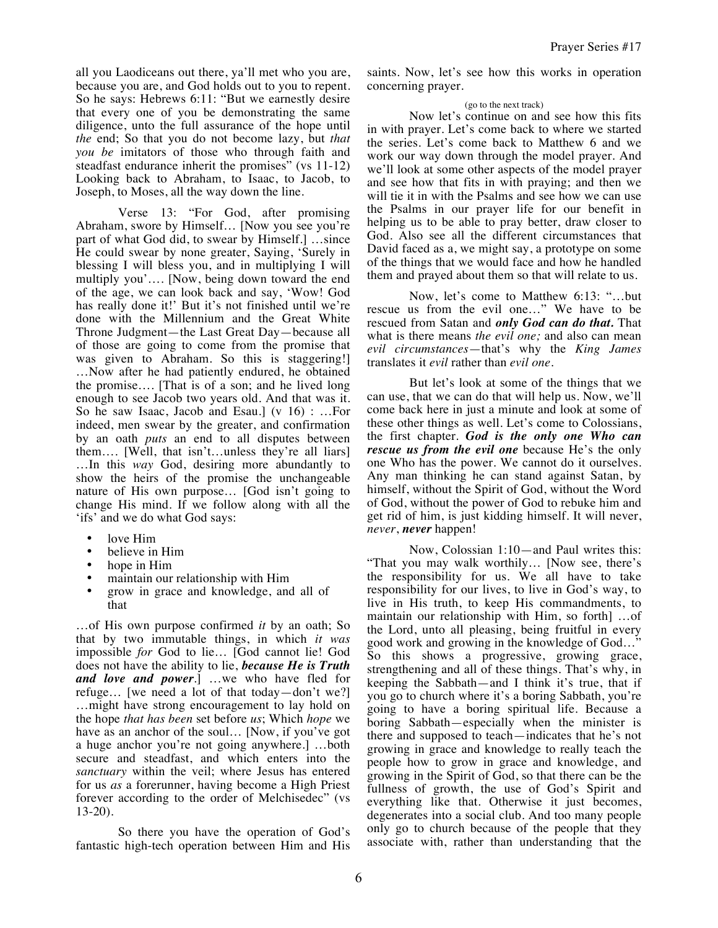all you Laodiceans out there, ya'll met who you are, because you are, and God holds out to you to repent. So he says: Hebrews 6:11: "But we earnestly desire that every one of you be demonstrating the same diligence, unto the full assurance of the hope until *the* end; So that you do not become lazy, but *that you be* imitators of those who through faith and steadfast endurance inherit the promises" (vs 11-12) Looking back to Abraham, to Isaac, to Jacob, to Joseph, to Moses, all the way down the line.

Verse 13: "For God, after promising Abraham, swore by Himself… [Now you see you're part of what God did, to swear by Himself.] …since He could swear by none greater, Saying, 'Surely in blessing I will bless you, and in multiplying I will multiply you'…. [Now, being down toward the end of the age, we can look back and say, 'Wow! God has really done it!' But it's not finished until we're done with the Millennium and the Great White Throne Judgment—the Last Great Day—because all of those are going to come from the promise that was given to Abraham. So this is staggering!] …Now after he had patiently endured, he obtained the promise…. [That is of a son; and he lived long enough to see Jacob two years old. And that was it. So he saw Isaac, Jacob and Esau.] (v 16) : …For indeed, men swear by the greater, and confirmation by an oath *puts* an end to all disputes between them…. [Well, that isn't…unless they're all liars] …In this *way* God, desiring more abundantly to show the heirs of the promise the unchangeable nature of His own purpose… [God isn't going to change His mind. If we follow along with all the 'ifs' and we do what God says:

- love Him
- believe in Him
- hope in Him
- maintain our relationship with Him
- grow in grace and knowledge, and all of that

…of His own purpose confirmed *it* by an oath; So that by two immutable things, in which *it was* impossible *for* God to lie… [God cannot lie! God does not have the ability to lie, *because He is Truth and love and power*.] …we who have fled for refuge… [we need a lot of that today—don't we?] …might have strong encouragement to lay hold on the hope *that has been* set before *us*; Which *hope* we have as an anchor of the soul… [Now, if you've got a huge anchor you're not going anywhere.] …both secure and steadfast, and which enters into the *sanctuary* within the veil; where Jesus has entered for us *as* a forerunner, having become a High Priest forever according to the order of Melchisedec" (vs 13-20).

So there you have the operation of God's fantastic high-tech operation between Him and His saints. Now, let's see how this works in operation concerning prayer.

## (go to the next track)

Now let's continue on and see how this fits in with prayer. Let's come back to where we started the series. Let's come back to Matthew 6 and we work our way down through the model prayer. And we'll look at some other aspects of the model prayer and see how that fits in with praying; and then we will tie it in with the Psalms and see how we can use the Psalms in our prayer life for our benefit in helping us to be able to pray better, draw closer to God. Also see all the different circumstances that David faced as a, we might say, a prototype on some of the things that we would face and how he handled them and prayed about them so that will relate to us.

Now, let's come to Matthew 6:13: "…but rescue us from the evil one…" We have to be rescued from Satan and *only God can do that.* That what is there means *the evil one;* and also can mean *evil circumstances*—that's why the *King James* translates it *evil* rather than *evil one*.

But let's look at some of the things that we can use, that we can do that will help us. Now, we'll come back here in just a minute and look at some of these other things as well. Let's come to Colossians, the first chapter. *God is the only one Who can rescue us from the evil one* because He's the only one Who has the power. We cannot do it ourselves. Any man thinking he can stand against Satan, by himself, without the Spirit of God, without the Word of God, without the power of God to rebuke him and get rid of him, is just kidding himself. It will never, *never*, *never* happen!

Now, Colossian 1:10—and Paul writes this: "That you may walk worthily… [Now see, there's the responsibility for us. We all have to take responsibility for our lives, to live in God's way, to live in His truth, to keep His commandments, to maintain our relationship with Him, so forth] …of the Lord, unto all pleasing, being fruitful in every good work and growing in the knowledge of God…" So this shows a progressive, growing grace, strengthening and all of these things. That's why, in keeping the Sabbath—and I think it's true, that if you go to church where it's a boring Sabbath, you're going to have a boring spiritual life. Because a boring Sabbath—especially when the minister is there and supposed to teach—indicates that he's not growing in grace and knowledge to really teach the people how to grow in grace and knowledge, and growing in the Spirit of God, so that there can be the fullness of growth, the use of God's Spirit and everything like that. Otherwise it just becomes, degenerates into a social club. And too many people only go to church because of the people that they associate with, rather than understanding that the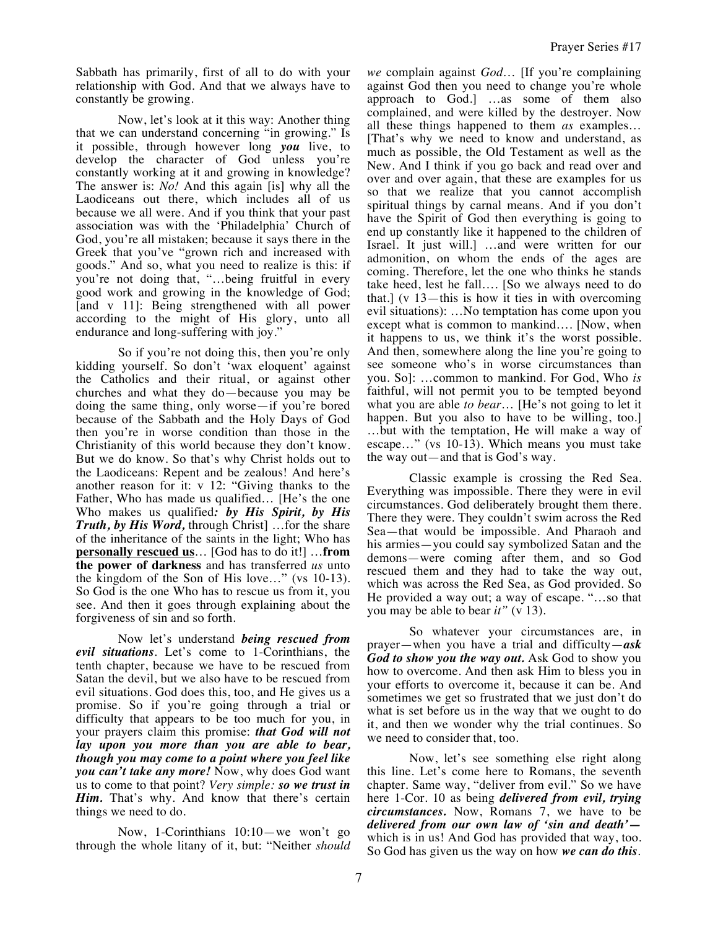Sabbath has primarily, first of all to do with your relationship with God. And that we always have to constantly be growing.

Now, let's look at it this way: Another thing that we can understand concerning "in growing." Is it possible, through however long *you* live, to develop the character of God unless you're constantly working at it and growing in knowledge? The answer is: *No!* And this again [is] why all the Laodiceans out there, which includes all of us because we all were. And if you think that your past association was with the 'Philadelphia' Church of God, you're all mistaken; because it says there in the Greek that you've "grown rich and increased with goods." And so, what you need to realize is this: if you're not doing that, "…being fruitful in every good work and growing in the knowledge of God; [and v 11]: Being strengthened with all power according to the might of His glory, unto all endurance and long-suffering with joy."

So if you're not doing this, then you're only kidding yourself. So don't 'wax eloquent' against the Catholics and their ritual, or against other churches and what they do—because you may be doing the same thing, only worse—if you're bored because of the Sabbath and the Holy Days of God then you're in worse condition than those in the Christianity of this world because they don't know. But we do know. So that's why Christ holds out to the Laodiceans: Repent and be zealous! And here's another reason for it: v 12: "Giving thanks to the Father, Who has made us qualified… [He's the one Who makes us qualified*: by His Spirit, by His Truth, by His Word,* through Christ] …for the share of the inheritance of the saints in the light; Who has **personally rescued us**… [God has to do it!] …**from the power of darkness** and has transferred *us* unto the kingdom of the Son of His love…" (vs 10-13). So God is the one Who has to rescue us from it, you see. And then it goes through explaining about the forgiveness of sin and so forth.

Now let's understand *being rescued from evil situations*. Let's come to 1-Corinthians, the tenth chapter, because we have to be rescued from Satan the devil, but we also have to be rescued from evil situations. God does this, too, and He gives us a promise. So if you're going through a trial or difficulty that appears to be too much for you, in your prayers claim this promise: *that God will not lay upon you more than you are able to bear, though you may come to a point where you feel like you can't take any more!* Now, why does God want us to come to that point? *Very simple: so we trust in Him.* That's why. And know that there's certain things we need to do.

Now, 1-Corinthians 10:10—we won't go through the whole litany of it, but: "Neither *should*  *we* complain against *God*… [If you're complaining against God then you need to change you're whole approach to God.] …as some of them also complained, and were killed by the destroyer. Now all these things happened to them *as* examples… [That's why we need to know and understand, as much as possible, the Old Testament as well as the New. And I think if you go back and read over and over and over again, that these are examples for us so that we realize that you cannot accomplish spiritual things by carnal means. And if you don't have the Spirit of God then everything is going to end up constantly like it happened to the children of Israel. It just will.] …and were written for our admonition, on whom the ends of the ages are coming. Therefore, let the one who thinks he stands take heed, lest he fall…. [So we always need to do that.] (v  $13$ —this is how it ties in with overcoming evil situations): …No temptation has come upon you except what is common to mankind…. [Now, when it happens to us, we think it's the worst possible. And then, somewhere along the line you're going to see someone who's in worse circumstances than you. So]: …common to mankind. For God, Who *is* faithful, will not permit you to be tempted beyond what you are able *to bear*… [He's not going to let it happen. But you also to have to be willing, too.] …but with the temptation, He will make a way of escape…" (vs 10-13). Which means you must take the way out—and that is God's way.

Classic example is crossing the Red Sea. Everything was impossible. There they were in evil circumstances. God deliberately brought them there. There they were. They couldn't swim across the Red Sea—that would be impossible. And Pharaoh and his armies—you could say symbolized Satan and the demons—were coming after them, and so God rescued them and they had to take the way out, which was across the Red Sea, as God provided. So He provided a way out; a way of escape. "…so that you may be able to bear *it"* (v 13).

So whatever your circumstances are, in prayer—when you have a trial and difficulty—*ask God to show you the way out.* Ask God to show you how to overcome. And then ask Him to bless you in your efforts to overcome it, because it can be. And sometimes we get so frustrated that we just don't do what is set before us in the way that we ought to do it, and then we wonder why the trial continues. So we need to consider that, too.

Now, let's see something else right along this line. Let's come here to Romans, the seventh chapter. Same way, "deliver from evil." So we have here 1-Cor. 10 as being *delivered from evil, trying circumstances.* Now, Romans 7, we have to be *delivered from our own law of 'sin and death'* which is in us! And God has provided that way, too. So God has given us the way on how *we can do this*.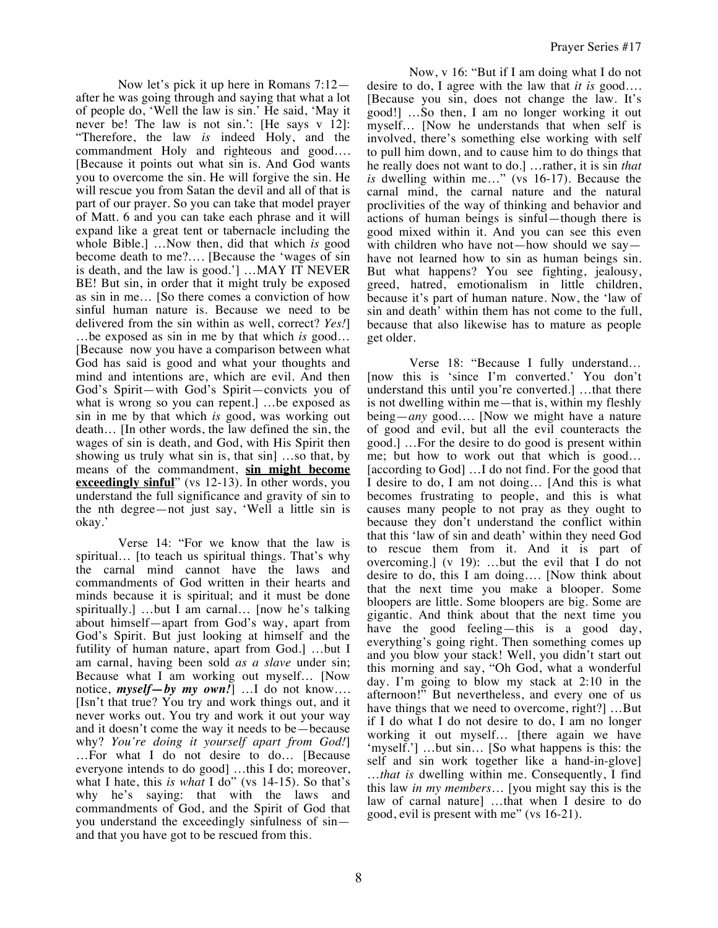Now let's pick it up here in Romans 7:12 after he was going through and saying that what a lot of people do, 'Well the law is sin.' He said, 'May it never be! The law is not sin.': [He says v 12]: "Therefore, the law *is* indeed Holy, and the commandment Holy and righteous and good…. [Because it points out what sin is. And God wants you to overcome the sin. He will forgive the sin. He will rescue you from Satan the devil and all of that is part of our prayer. So you can take that model prayer of Matt. 6 and you can take each phrase and it will expand like a great tent or tabernacle including the whole Bible.] …Now then, did that which *is* good become death to me?…. [Because the 'wages of sin is death, and the law is good.'] …MAY IT NEVER BE! But sin, in order that it might truly be exposed as sin in me… [So there comes a conviction of how sinful human nature is. Because we need to be delivered from the sin within as well, correct? *Yes!*] …be exposed as sin in me by that which *is* good… [Because now you have a comparison between what God has said is good and what your thoughts and mind and intentions are, which are evil. And then God's Spirit—with God's Spirit—convicts you of what is wrong so you can repent.] …be exposed as sin in me by that which *is* good, was working out death… [In other words, the law defined the sin, the wages of sin is death, and God, with His Spirit then showing us truly what sin is, that sin] …so that, by means of the commandment, **sin might become exceedingly sinful**" (vs 12-13). In other words, you understand the full significance and gravity of sin to the nth degree—not just say, 'Well a little sin is okay.'

Verse 14: "For we know that the law is spiritual… [to teach us spiritual things. That's why the carnal mind cannot have the laws and commandments of God written in their hearts and minds because it is spiritual; and it must be done spiritually.] …but I am carnal… [now he's talking about himself—apart from God's way, apart from God's Spirit. But just looking at himself and the futility of human nature, apart from God.] …but I am carnal, having been sold *as a slave* under sin; Because what I am working out myself… [Now notice, *myself—by my own!*] …I do not know…. [Isn't that true? You try and work things out, and it never works out. You try and work it out your way and it doesn't come the way it needs to be—because why? *You're doing it yourself apart from God!*] …For what I do not desire to do… [Because everyone intends to do good] …this I do; moreover, what I hate, this *is what* I do" (vs 14-15). So that's why he's saying: that with the laws and commandments of God, and the Spirit of God that you understand the exceedingly sinfulness of sin and that you have got to be rescued from this.

Now, v 16: "But if I am doing what I do not desire to do, I agree with the law that *it is* good…. [Because you sin, does not change the law. It's good!] …So then, I am no longer working it out myself… [Now he understands that when self is involved, there's something else working with self to pull him down, and to cause him to do things that he really does not want to do.] …rather, it is sin *that is* dwelling within me…" (vs 16-17). Because the carnal mind, the carnal nature and the natural proclivities of the way of thinking and behavior and actions of human beings is sinful—though there is good mixed within it. And you can see this even with children who have not—how should we say have not learned how to sin as human beings sin. But what happens? You see fighting, jealousy, greed, hatred, emotionalism in little children, because it's part of human nature. Now, the 'law of sin and death' within them has not come to the full, because that also likewise has to mature as people get older.

Verse 18: "Because I fully understand… [now this is 'since I'm converted.' You don't understand this until you're converted.] …that there is not dwelling within me—that is, within my fleshly being—*any* good…. [Now we might have a nature of good and evil, but all the evil counteracts the good.] …For the desire to do good is present within me; but how to work out that which is good… [according to God] …I do not find. For the good that I desire to do, I am not doing… [And this is what becomes frustrating to people, and this is what causes many people to not pray as they ought to because they don't understand the conflict within that this 'law of sin and death' within they need God to rescue them from it. And it is part of overcoming.] (v 19): …but the evil that I do not desire to do, this I am doing…. [Now think about that the next time you make a blooper. Some bloopers are little. Some bloopers are big. Some are gigantic. And think about that the next time you have the good feeling—this is a good day, everything's going right. Then something comes up and you blow your stack! Well, you didn't start out this morning and say, "Oh God, what a wonderful day. I'm going to blow my stack at 2:10 in the afternoon!" But nevertheless, and every one of us have things that we need to overcome, right?] …But if I do what I do not desire to do, I am no longer working it out myself… [there again we have 'myself.'] …but sin… [So what happens is this: the self and sin work together like a hand-in-glove] …*that is* dwelling within me. Consequently, I find this law *in my members*… [you might say this is the law of carnal nature] …that when I desire to do good, evil is present with me" (vs 16-21).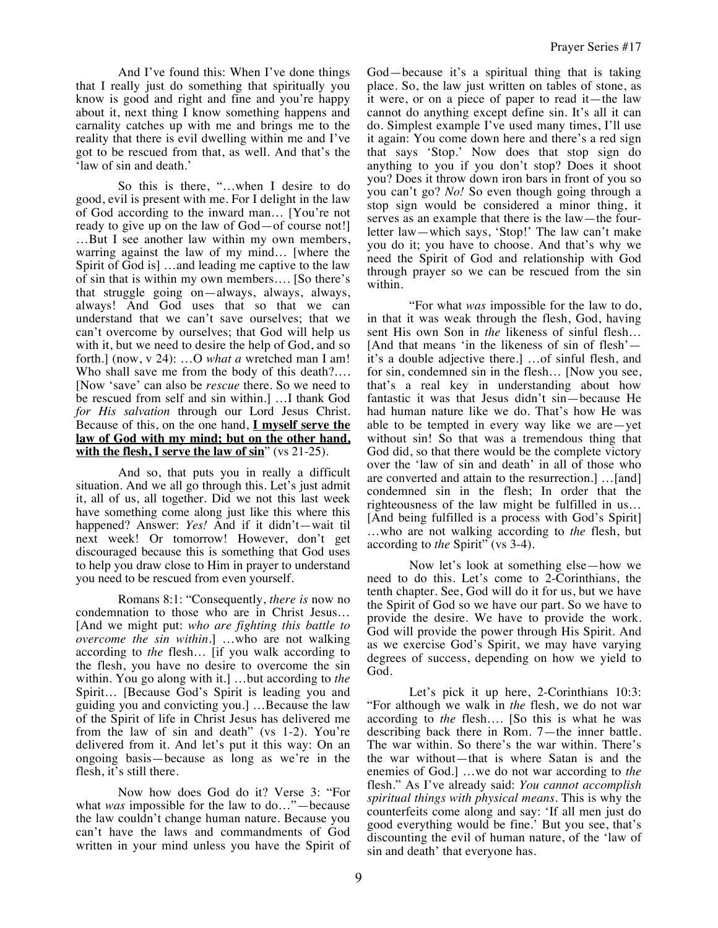And I've found this: When I've done things that I really just do something that spiritually you know is good and right and fine and you're happy about it, next thing I know something happens and carnality catches up with me and brings me to the reality that there is evil dwelling within me and I've got to be rescued from that, as well. And that's the 'law of sin and death.'

So this is there, "…when I desire to do good, evil is present with me. For I delight in the law of God according to the inward man… [You're not ready to give up on the law of God—of course not!] …But I see another law within my own members, warring against the law of my mind… [where the Spirit of God is] …and leading me captive to the law of sin that is within my own members…. [So there's that struggle going on—always, always, always, always! And God uses that so that we can understand that we can't save ourselves; that we can't overcome by ourselves; that God will help us with it, but we need to desire the help of God, and so forth.] (now, v 24): …O *what a* wretched man I am! Who shall save me from the body of this death?…. [Now 'save' can also be *rescue* there. So we need to be rescued from self and sin within.] …I thank God *for His salvation* through our Lord Jesus Christ. Because of this, on the one hand, **I myself serve the law of God with my mind; but on the other hand, with the flesh, I serve the law of sin**" (vs 21-25).

And so, that puts you in really a difficult situation. And we all go through this. Let's just admit it, all of us, all together. Did we not this last week have something come along just like this where this happened? Answer: *Yes!* And if it didn't—wait til next week! Or tomorrow! However, don't get discouraged because this is something that God uses to help you draw close to Him in prayer to understand you need to be rescued from even yourself.

Romans 8:1: "Consequently, *there is* now no condemnation to those who are in Christ Jesus… [And we might put: *who are fighting this battle to overcome the sin within*.] …who are not walking according to *the* flesh… [if you walk according to the flesh, you have no desire to overcome the sin within. You go along with it.] …but according to *the* Spirit… [Because God's Spirit is leading you and guiding you and convicting you.] …Because the law of the Spirit of life in Christ Jesus has delivered me from the law of sin and death" (vs 1-2). You're delivered from it. And let's put it this way: On an ongoing basis—because as long as we're in the flesh, it's still there.

Now how does God do it? Verse 3: "For what *was* impossible for the law to do…"—because the law couldn't change human nature. Because you can't have the laws and commandments of God written in your mind unless you have the Spirit of God—because it's a spiritual thing that is taking place. So, the law just written on tables of stone, as it were, or on a piece of paper to read it—the law cannot do anything except define sin. It's all it can do. Simplest example I've used many times, I'll use it again: You come down here and there's a red sign that says 'Stop.' Now does that stop sign do anything to you if you don't stop? Does it shoot you? Does it throw down iron bars in front of you so you can't go? *No!* So even though going through a stop sign would be considered a minor thing, it serves as an example that there is the law—the fourletter law—which says, 'Stop!' The law can't make you do it; you have to choose. And that's why we need the Spirit of God and relationship with God through prayer so we can be rescued from the sin within.

"For what *was* impossible for the law to do, in that it was weak through the flesh, God, having sent His own Son in *the* likeness of sinful flesh… [And that means 'in the likeness of sin of flesh' it's a double adjective there.] …of sinful flesh, and for sin, condemned sin in the flesh… [Now you see, that's a real key in understanding about how fantastic it was that Jesus didn't sin—because He had human nature like we do. That's how He was able to be tempted in every way like we are—yet without sin! So that was a tremendous thing that God did, so that there would be the complete victory over the 'law of sin and death' in all of those who are converted and attain to the resurrection.] …[and] condemned sin in the flesh; In order that the righteousness of the law might be fulfilled in us… [And being fulfilled is a process with God's Spirit] …who are not walking according to *the* flesh, but according to *the* Spirit" (vs 3-4).

Now let's look at something else—how we need to do this. Let's come to 2-Corinthians, the tenth chapter. See, God will do it for us, but we have the Spirit of God so we have our part. So we have to provide the desire. We have to provide the work. God will provide the power through His Spirit. And as we exercise God's Spirit, we may have varying degrees of success, depending on how we yield to God.

Let's pick it up here, 2-Corinthians 10:3: "For although we walk in *the* flesh, we do not war according to *the* flesh…. [So this is what he was describing back there in Rom. 7—the inner battle. The war within. So there's the war within. There's the war without—that is where Satan is and the enemies of God.] …we do not war according to *the* flesh." As I've already said: *You cannot accomplish spiritual things with physical means.* This is why the counterfeits come along and say: 'If all men just do good everything would be fine.' But you see, that's discounting the evil of human nature, of the 'law of sin and death' that everyone has.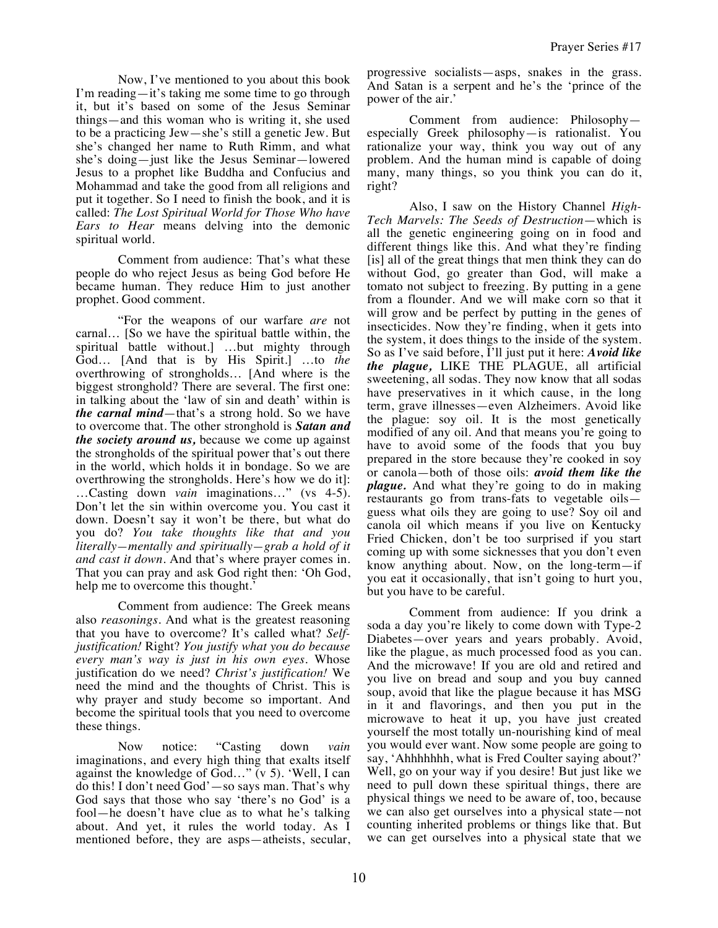Now, I've mentioned to you about this book I'm reading—it's taking me some time to go through it, but it's based on some of the Jesus Seminar things—and this woman who is writing it, she used to be a practicing Jew—she's still a genetic Jew. But she's changed her name to Ruth Rimm, and what she's doing—just like the Jesus Seminar—lowered Jesus to a prophet like Buddha and Confucius and Mohammad and take the good from all religions and put it together. So I need to finish the book, and it is called: *The Lost Spiritual World for Those Who have Ears to Hear* means delving into the demonic spiritual world.

Comment from audience: That's what these people do who reject Jesus as being God before He became human. They reduce Him to just another prophet. Good comment.

"For the weapons of our warfare *are* not carnal… [So we have the spiritual battle within, the spiritual battle without.] …but mighty through God… [And that is by His Spirit.] …to *the* overthrowing of strongholds… [And where is the biggest stronghold? There are several. The first one: in talking about the 'law of sin and death' within is *the carnal mind*—that's a strong hold. So we have to overcome that. The other stronghold is *Satan and the society around us,* because we come up against the strongholds of the spiritual power that's out there in the world, which holds it in bondage. So we are overthrowing the strongholds. Here's how we do it]: …Casting down *vain* imaginations…" (vs 4-5). Don't let the sin within overcome you. You cast it down. Doesn't say it won't be there, but what do you do? *You take thoughts like that and you literally—mentally and spiritually—grab a hold of it and cast it down.* And that's where prayer comes in. That you can pray and ask God right then: 'Oh God, help me to overcome this thought.<sup>7</sup>

Comment from audience: The Greek means also *reasonings.* And what is the greatest reasoning that you have to overcome? It's called what? *Selfjustification!* Right? *You justify what you do because every man's way is just in his own eyes.* Whose justification do we need? *Christ's justification!* We need the mind and the thoughts of Christ. This is why prayer and study become so important. And become the spiritual tools that you need to overcome these things.

Now notice: "Casting down *vain* imaginations, and every high thing that exalts itself against the knowledge of God…" (v 5). 'Well, I can do this! I don't need God'—so says man. That's why God says that those who say 'there's no God' is a fool—he doesn't have clue as to what he's talking about. And yet, it rules the world today. As I mentioned before, they are asps—atheists, secular, progressive socialists—asps, snakes in the grass. And Satan is a serpent and he's the 'prince of the power of the air.'

Comment from audience: Philosophy especially Greek philosophy—is rationalist. You rationalize your way, think you way out of any problem. And the human mind is capable of doing many, many things, so you think you can do it, right?

Also, I saw on the History Channel *High-Tech Marvels: The Seeds of Destruction*—which is all the genetic engineering going on in food and different things like this. And what they're finding [is] all of the great things that men think they can do without God, go greater than God, will make a tomato not subject to freezing. By putting in a gene from a flounder. And we will make corn so that it will grow and be perfect by putting in the genes of insecticides. Now they're finding, when it gets into the system, it does things to the inside of the system. So as I've said before, I'll just put it here: *Avoid like the plague,* LIKE THE PLAGUE, all artificial sweetening, all sodas. They now know that all sodas have preservatives in it which cause, in the long term, grave illnesses—even Alzheimers. Avoid like the plague: soy oil. It is the most genetically modified of any oil. And that means you're going to have to avoid some of the foods that you buy prepared in the store because they're cooked in soy or canola—both of those oils: *avoid them like the plague.* And what they're going to do in making restaurants go from trans-fats to vegetable oils guess what oils they are going to use? Soy oil and canola oil which means if you live on Kentucky Fried Chicken, don't be too surprised if you start coming up with some sicknesses that you don't even know anything about. Now, on the long-term—if you eat it occasionally, that isn't going to hurt you, but you have to be careful.

Comment from audience: If you drink a soda a day you're likely to come down with Type-2 Diabetes—over years and years probably. Avoid, like the plague, as much processed food as you can. And the microwave! If you are old and retired and you live on bread and soup and you buy canned soup, avoid that like the plague because it has MSG in it and flavorings, and then you put in the microwave to heat it up, you have just created yourself the most totally un-nourishing kind of meal you would ever want. Now some people are going to say, 'Ahhhhhhh, what is Fred Coulter saying about?' Well, go on your way if you desire! But just like we need to pull down these spiritual things, there are physical things we need to be aware of, too, because we can also get ourselves into a physical state—not counting inherited problems or things like that. But we can get ourselves into a physical state that we